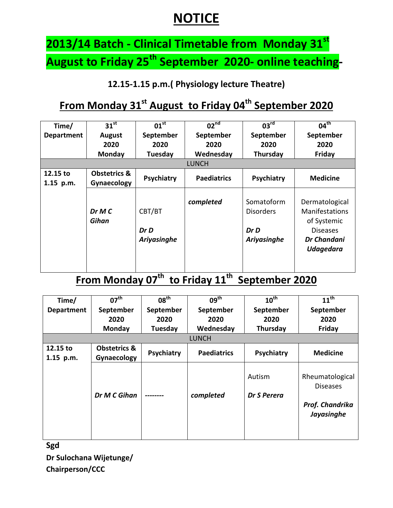## **NOTICE**

# **2013/14 Batch - Clinical Timetable from Monday 31st August to Friday 25th September 2020- online teaching-**

**12.15-1.15 p.m.( Physiology lecture Theatre)**

### **From Monday 31st August to Friday 04th September 2020**

| Time/                   | 31 <sup>st</sup>                       | 01 <sup>st</sup>              | 02 <sup>nd</sup>   | 03 <sup>rd</sup>                                      | $04^{\text{th}}$                                                                                             |  |
|-------------------------|----------------------------------------|-------------------------------|--------------------|-------------------------------------------------------|--------------------------------------------------------------------------------------------------------------|--|
| <b>Department</b>       | <b>August</b>                          | September                     | September          | September                                             | September                                                                                                    |  |
|                         | 2020                                   | 2020                          | 2020               | 2020                                                  | 2020                                                                                                         |  |
|                         | Monday                                 | Tuesday                       | Wednesday          | Thursday                                              | Friday                                                                                                       |  |
| <b>LUNCH</b>            |                                        |                               |                    |                                                       |                                                                                                              |  |
| 12.15 to<br>$1.15$ p.m. | <b>Obstetrics &amp;</b><br>Gynaecology | Psychiatry                    | <b>Paediatrics</b> | Psychiatry                                            | <b>Medicine</b>                                                                                              |  |
|                         | DrMC<br>Gihan                          | CBT/BT<br>Dr D<br>Ariyasinghe | completed          | Somatoform<br><b>Disorders</b><br>Dr D<br>Ariyasinghe | Dermatological<br><b>Manifestations</b><br>of Systemic<br><b>Diseases</b><br>Dr Chandani<br><b>Udagedara</b> |  |

#### **From Monday 07th to Friday 11th September 2020**

| Time/                 | $07^{\text{th}}$                       | 08 <sup>th</sup> | $09^{\text{th}}$   | $10^{\text{th}}$      | $11^{\text{th}}$                                                    |  |  |
|-----------------------|----------------------------------------|------------------|--------------------|-----------------------|---------------------------------------------------------------------|--|--|
| Department            | September                              | September        | September          | September             | September                                                           |  |  |
|                       | 2020                                   | 2020             | 2020               | 2020                  | 2020                                                                |  |  |
|                       | Monday                                 | Tuesday          | Wednesday          | Thursday              | Friday                                                              |  |  |
|                       | <b>LUNCH</b>                           |                  |                    |                       |                                                                     |  |  |
| 12.15 to<br>1.15 p.m. | <b>Obstetrics &amp;</b><br>Gynaecology | Psychiatry       | <b>Paediatrics</b> | Psychiatry            | <b>Medicine</b>                                                     |  |  |
|                       | Dr M C Gihan                           |                  | completed          | Autism<br>Dr S Perera | Rheumatological<br><b>Diseases</b><br>Prof. Chandrika<br>Jayasinghe |  |  |

**Sgd Dr Sulochana Wijetunge/ Chairperson/CCC**